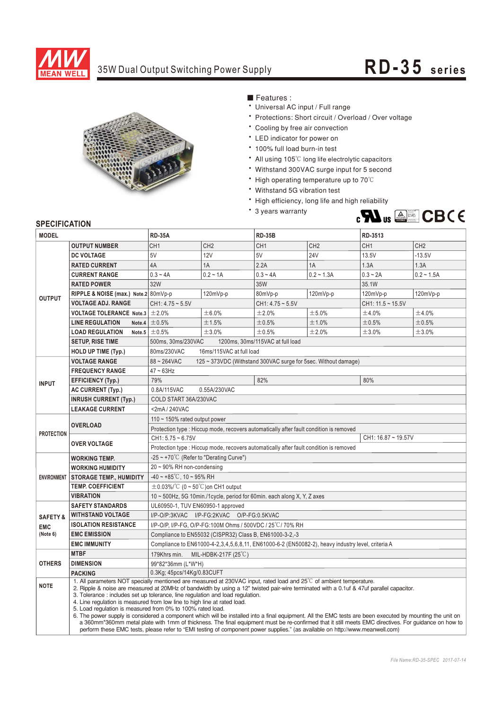

## 35W Dual Output Switching Power Supply **RD-35** series



■ Features :

- Universal AC input / Full range
- \* Protections: Short circuit / Overload / Over voltage
- \* Cooling by free air convection
- LED indicator for power on
- \* 100% full load burn-in test
- All using 105°C long life electrolytic capacitors
- Withstand 300VAC surge input for 5 second
- High operating temperature up to 70°C
- Withstand 5G vibration test
- High efficiency, long life and high reliability
- \* 3 years warranty



## **SPECIFICATION**

| <b>MODEL</b>                                                   |                                                                                                                                                                                                                                                                                                                                                  | <b>RD-35A</b>                                                                                                                                                                                                                                                                                                                                                                                                                                      |                 | <b>RD-35B</b>      |                 | RD-3513                |                 |  |
|----------------------------------------------------------------|--------------------------------------------------------------------------------------------------------------------------------------------------------------------------------------------------------------------------------------------------------------------------------------------------------------------------------------------------|----------------------------------------------------------------------------------------------------------------------------------------------------------------------------------------------------------------------------------------------------------------------------------------------------------------------------------------------------------------------------------------------------------------------------------------------------|-----------------|--------------------|-----------------|------------------------|-----------------|--|
|                                                                | <b>OUTPUT NUMBER</b>                                                                                                                                                                                                                                                                                                                             | CH <sub>1</sub>                                                                                                                                                                                                                                                                                                                                                                                                                                    | CH <sub>2</sub> | CH <sub>1</sub>    | CH <sub>2</sub> | CH <sub>1</sub>        | CH <sub>2</sub> |  |
| <b>OUTPUT</b>                                                  | <b>DC VOLTAGE</b>                                                                                                                                                                                                                                                                                                                                | 5V                                                                                                                                                                                                                                                                                                                                                                                                                                                 | 12V             | 5V                 | <b>24V</b>      | 13.5V                  | $-13.5V$        |  |
|                                                                | <b>RATED CURRENT</b>                                                                                                                                                                                                                                                                                                                             | 4A                                                                                                                                                                                                                                                                                                                                                                                                                                                 | 1A              | 2.2A               | 1A              | 1.3A                   | 1.3A            |  |
|                                                                | <b>CURRENT RANGE</b>                                                                                                                                                                                                                                                                                                                             | $0.3 - 4A$                                                                                                                                                                                                                                                                                                                                                                                                                                         | $0.2 - 1A$      | $0.3 - 4A$         | $0.2 - 1.3A$    | $0.3 - 2A$             | $0.2 - 1.5A$    |  |
|                                                                | <b>RATED POWER</b>                                                                                                                                                                                                                                                                                                                               | 32W                                                                                                                                                                                                                                                                                                                                                                                                                                                |                 | 35W                |                 | 35.1W                  |                 |  |
|                                                                | RIPPLE & NOISE (max.) Note.2 80mVp-p                                                                                                                                                                                                                                                                                                             |                                                                                                                                                                                                                                                                                                                                                                                                                                                    | 120mVp-p        | 80mVp-p            | 120mVp-p        | 120mVp-p               | 120mVp-p        |  |
|                                                                | <b>VOLTAGE ADJ. RANGE</b>                                                                                                                                                                                                                                                                                                                        | $CH1: 4.75 \sim 5.5V$                                                                                                                                                                                                                                                                                                                                                                                                                              |                 | $CH1: 4.75 - 5.5V$ |                 | $CH1: 11.5 \sim 15.5V$ |                 |  |
|                                                                | <b>VOLTAGE TOLERANCE Note.3</b>                                                                                                                                                                                                                                                                                                                  | ±2.0%                                                                                                                                                                                                                                                                                                                                                                                                                                              | ±6.0%           | ±2.0%              | ±5.0%           | ±4.0%                  | ±4.0%           |  |
|                                                                | <b>LINE REGULATION</b><br>Note.4                                                                                                                                                                                                                                                                                                                 | ±0.5%                                                                                                                                                                                                                                                                                                                                                                                                                                              | ±1.5%           | ±0.5%              | ±1.0%           | ±0.5%                  | ±0.5%           |  |
|                                                                | <b>LOAD REGULATION</b>                                                                                                                                                                                                                                                                                                                           | Note.5 $\pm$ 0.5%                                                                                                                                                                                                                                                                                                                                                                                                                                  | ±3.0%           | ±0.5%              | ±2.0%           | ±3.0%                  | ±3.0%           |  |
|                                                                | <b>SETUP, RISE TIME</b>                                                                                                                                                                                                                                                                                                                          | 500ms, 30ms/230VAC<br>1200ms, 30ms/115VAC at full load                                                                                                                                                                                                                                                                                                                                                                                             |                 |                    |                 |                        |                 |  |
|                                                                | <b>HOLD UP TIME (Typ.)</b>                                                                                                                                                                                                                                                                                                                       | 80ms/230VAC<br>16ms/115VAC at full load                                                                                                                                                                                                                                                                                                                                                                                                            |                 |                    |                 |                        |                 |  |
| <b>INPUT</b>                                                   | <b>VOLTAGE RANGE</b>                                                                                                                                                                                                                                                                                                                             | $88 - 264$ VAC<br>125 ~ 373VDC (Withstand 300VAC surge for 5sec. Without damage)                                                                                                                                                                                                                                                                                                                                                                   |                 |                    |                 |                        |                 |  |
|                                                                | <b>FREQUENCY RANGE</b>                                                                                                                                                                                                                                                                                                                           | $47 \sim 63$ Hz                                                                                                                                                                                                                                                                                                                                                                                                                                    |                 |                    |                 |                        |                 |  |
|                                                                | <b>EFFICIENCY (Typ.)</b>                                                                                                                                                                                                                                                                                                                         | 79%                                                                                                                                                                                                                                                                                                                                                                                                                                                |                 | 82%                |                 | 80%                    |                 |  |
|                                                                | <b>AC CURRENT (Typ.)</b>                                                                                                                                                                                                                                                                                                                         | 0.8A/115VAC<br>0.55A/230VAC                                                                                                                                                                                                                                                                                                                                                                                                                        |                 |                    |                 |                        |                 |  |
|                                                                | <b>INRUSH CURRENT (Typ.)</b>                                                                                                                                                                                                                                                                                                                     | COLD START 36A/230VAC                                                                                                                                                                                                                                                                                                                                                                                                                              |                 |                    |                 |                        |                 |  |
|                                                                | <b>LEAKAGE CURRENT</b>                                                                                                                                                                                                                                                                                                                           | <2mA / 240VAC                                                                                                                                                                                                                                                                                                                                                                                                                                      |                 |                    |                 |                        |                 |  |
| <b>PROTECTION</b>                                              |                                                                                                                                                                                                                                                                                                                                                  | 110 $\sim$ 150% rated output power                                                                                                                                                                                                                                                                                                                                                                                                                 |                 |                    |                 |                        |                 |  |
|                                                                | <b>OVERLOAD</b>                                                                                                                                                                                                                                                                                                                                  | Protection type : Hiccup mode, recovers automatically after fault condition is removed                                                                                                                                                                                                                                                                                                                                                             |                 |                    |                 |                        |                 |  |
|                                                                | <b>OVER VOLTAGE</b>                                                                                                                                                                                                                                                                                                                              | $CH1: 5.75 - 6.75V$<br>CH1: 16.87 ~ 19.57V                                                                                                                                                                                                                                                                                                                                                                                                         |                 |                    |                 |                        |                 |  |
|                                                                |                                                                                                                                                                                                                                                                                                                                                  | Protection type : Hiccup mode, recovers automatically after fault condition is removed                                                                                                                                                                                                                                                                                                                                                             |                 |                    |                 |                        |                 |  |
| <b>ENVIRONMENT</b>                                             | <b>WORKING TEMP.</b>                                                                                                                                                                                                                                                                                                                             | -25 ~ +70 $\degree$ C (Refer to "Derating Curve")                                                                                                                                                                                                                                                                                                                                                                                                  |                 |                    |                 |                        |                 |  |
|                                                                | <b>WORKING HUMIDITY</b>                                                                                                                                                                                                                                                                                                                          | $20 \sim 90\%$ RH non-condensing                                                                                                                                                                                                                                                                                                                                                                                                                   |                 |                    |                 |                        |                 |  |
|                                                                | <b>STORAGE TEMP., HUMIDITY</b>                                                                                                                                                                                                                                                                                                                   | $-40 \sim +85^{\circ}$ C, 10 ~ 95% RH                                                                                                                                                                                                                                                                                                                                                                                                              |                 |                    |                 |                        |                 |  |
|                                                                | <b>TEMP. COEFFICIENT</b>                                                                                                                                                                                                                                                                                                                         | $\pm$ 0.03%/°C (0 ~ 50°C)on CH1 output                                                                                                                                                                                                                                                                                                                                                                                                             |                 |                    |                 |                        |                 |  |
|                                                                | <b>VIBRATION</b>                                                                                                                                                                                                                                                                                                                                 | 10 ~ 500Hz, 5G 10min./1cycle, period for 60min. each along X, Y, Z axes                                                                                                                                                                                                                                                                                                                                                                            |                 |                    |                 |                        |                 |  |
| <b>SAFETY &amp;</b><br><b>EMC</b><br>(Note 6)<br><b>OTHERS</b> | <b>SAFETY STANDARDS</b>                                                                                                                                                                                                                                                                                                                          | UL60950-1, TUV EN60950-1 approved                                                                                                                                                                                                                                                                                                                                                                                                                  |                 |                    |                 |                        |                 |  |
|                                                                | <b>WITHSTAND VOLTAGE</b>                                                                                                                                                                                                                                                                                                                         | I/P-O/P:3KVAC I/P-FG:2KVAC O/P-FG:0.5KVAC                                                                                                                                                                                                                                                                                                                                                                                                          |                 |                    |                 |                        |                 |  |
|                                                                | <b>ISOLATION RESISTANCE</b>                                                                                                                                                                                                                                                                                                                      | I/P-O/P, I/P-FG, O/P-FG:100M Ohms / 500VDC / 25°C/70% RH                                                                                                                                                                                                                                                                                                                                                                                           |                 |                    |                 |                        |                 |  |
|                                                                | <b>EMC EMISSION</b>                                                                                                                                                                                                                                                                                                                              | Compliance to EN55032 (CISPR32) Class B, EN61000-3-2,-3                                                                                                                                                                                                                                                                                                                                                                                            |                 |                    |                 |                        |                 |  |
|                                                                | <b>EMC IMMUNITY</b>                                                                                                                                                                                                                                                                                                                              | Compliance to EN61000-4-2,3,4,5,6,8,11, EN61000-6-2 (EN50082-2), heavy industry level, criteria A                                                                                                                                                                                                                                                                                                                                                  |                 |                    |                 |                        |                 |  |
|                                                                | <b>MTBF</b>                                                                                                                                                                                                                                                                                                                                      | 179Khrs min.<br>MIL-HDBK-217F (25 $\degree$ C)                                                                                                                                                                                                                                                                                                                                                                                                     |                 |                    |                 |                        |                 |  |
|                                                                | <b>DIMENSION</b>                                                                                                                                                                                                                                                                                                                                 | 99*82*36mm (L*W*H)                                                                                                                                                                                                                                                                                                                                                                                                                                 |                 |                    |                 |                        |                 |  |
|                                                                | <b>PACKING</b>                                                                                                                                                                                                                                                                                                                                   | 0.3Kg; 45pcs/14Kg/0.83CUFT                                                                                                                                                                                                                                                                                                                                                                                                                         |                 |                    |                 |                        |                 |  |
| <b>NOTE</b>                                                    | 1. All parameters NOT specially mentioned are measured at 230VAC input, rated load and 25°C of ambient temperature.<br>2. Ripple & noise are measured at 20MHz of bandwidth by using a 12" twisted pair-wire terminated with a 0.1uf & 47uf parallel capacitor.<br>3. Tolerance: includes set up tolerance, line regulation and load regulation. |                                                                                                                                                                                                                                                                                                                                                                                                                                                    |                 |                    |                 |                        |                 |  |
|                                                                | 4. Line regulation is measured from low line to high line at rated load.                                                                                                                                                                                                                                                                         |                                                                                                                                                                                                                                                                                                                                                                                                                                                    |                 |                    |                 |                        |                 |  |
|                                                                |                                                                                                                                                                                                                                                                                                                                                  | 5. Load regulation is measured from 0% to 100% rated load.                                                                                                                                                                                                                                                                                                                                                                                         |                 |                    |                 |                        |                 |  |
|                                                                |                                                                                                                                                                                                                                                                                                                                                  | 6. The power supply is considered a component which will be installed into a final equipment. All the EMC tests are been executed by mounting the unit on<br>a 360mm*360mm metal plate with 1mm of thickness. The final equipment must be re-confirmed that it still meets EMC directives. For guidance on how to<br>perform these EMC tests, please refer to "EMI testing of component power supplies." (as available on http://www.meanwell.com) |                 |                    |                 |                        |                 |  |
|                                                                |                                                                                                                                                                                                                                                                                                                                                  |                                                                                                                                                                                                                                                                                                                                                                                                                                                    |                 |                    |                 |                        |                 |  |